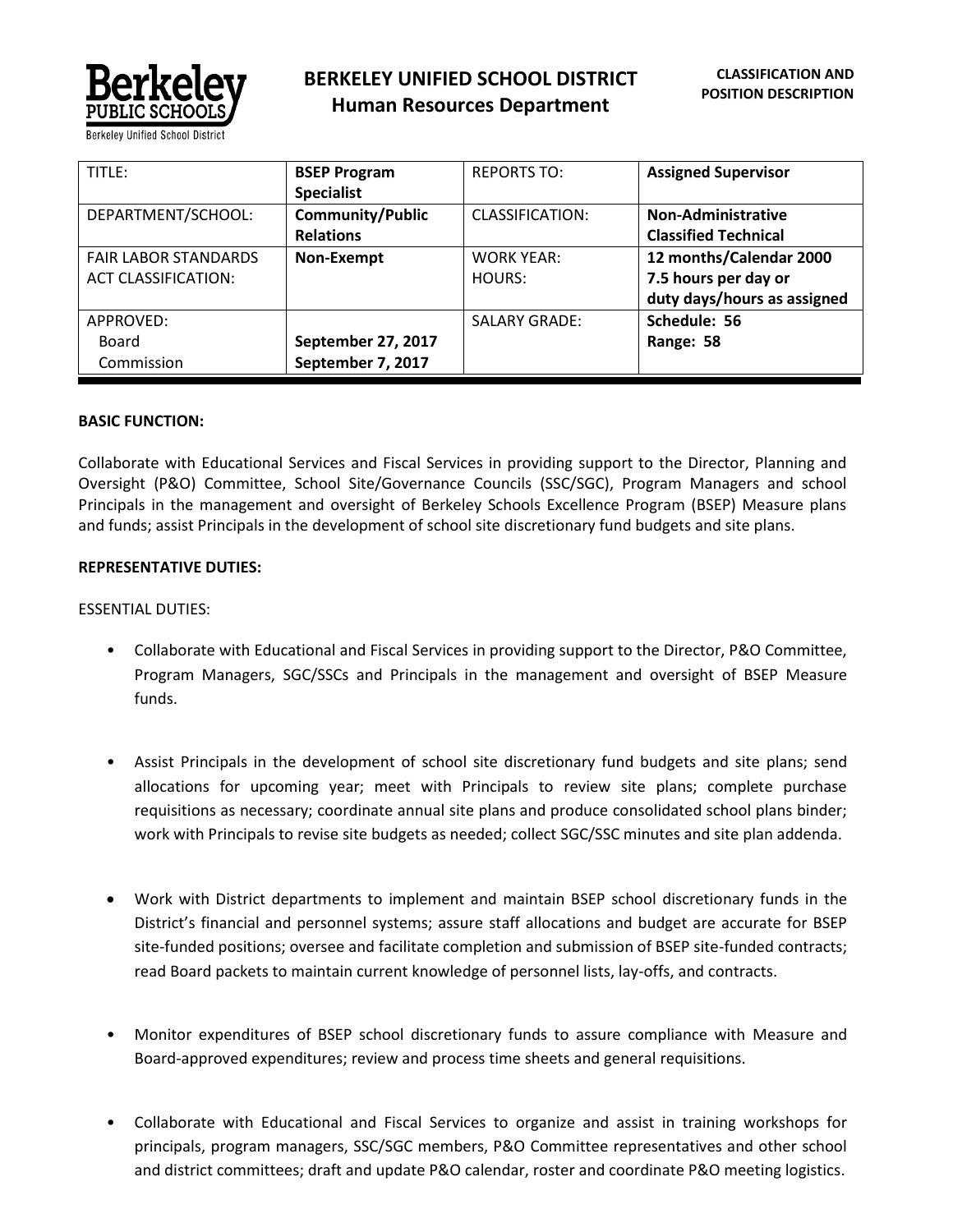

| TITLF:                                                    | <b>BSEP Program</b><br><b>Specialist</b>    | <b>REPORTS TO:</b>          | <b>Assigned Supervisor</b>                                                     |
|-----------------------------------------------------------|---------------------------------------------|-----------------------------|--------------------------------------------------------------------------------|
| DEPARTMENT/SCHOOL:                                        | <b>Community/Public</b><br><b>Relations</b> | <b>CLASSIFICATION:</b>      | <b>Non-Administrative</b><br><b>Classified Technical</b>                       |
| <b>FAIR LABOR STANDARDS</b><br><b>ACT CLASSIFICATION:</b> | Non-Exempt                                  | <b>WORK YEAR:</b><br>HOURS: | 12 months/Calendar 2000<br>7.5 hours per day or<br>duty days/hours as assigned |
| APPROVED:<br>Board<br>Commission                          | September 27, 2017<br>September 7, 2017     | <b>SALARY GRADE:</b>        | Schedule: 56<br>Range: 58                                                      |

#### **BASIC FUNCTION:**

Collaborate with Educational Services and Fiscal Services in providing support to the Director, Planning and Oversight (P&O) Committee, School Site/Governance Councils (SSC/SGC), Program Managers and school Principals in the management and oversight of Berkeley Schools Excellence Program (BSEP) Measure plans and funds; assist Principals in the development of school site discretionary fund budgets and site plans.

#### **REPRESENTATIVE DUTIES:**

#### ESSENTIAL DUTIES:

- Collaborate with Educational and Fiscal Services in providing support to the Director, P&O Committee, Program Managers, SGC/SSCs and Principals in the management and oversight of BSEP Measure funds.
- Assist Principals in the development of school site discretionary fund budgets and site plans; send allocations for upcoming year; meet with Principals to review site plans; complete purchase requisitions as necessary; coordinate annual site plans and produce consolidated school plans binder; work with Principals to revise site budgets as needed; collect SGC/SSC minutes and site plan addenda.
- Work with District departments to implement and maintain BSEP school discretionary funds in the District's financial and personnel systems; assure staff allocations and budget are accurate for BSEP site-funded positions; oversee and facilitate completion and submission of BSEP site-funded contracts; read Board packets to maintain current knowledge of personnel lists, lay-offs, and contracts.
- Monitor expenditures of BSEP school discretionary funds to assure compliance with Measure and Board-approved expenditures; review and process time sheets and general requisitions.
- Collaborate with Educational and Fiscal Services to organize and assist in training workshops for principals, program managers, SSC/SGC members, P&O Committee representatives and other school and district committees; draft and update P&O calendar, roster and coordinate P&O meeting logistics.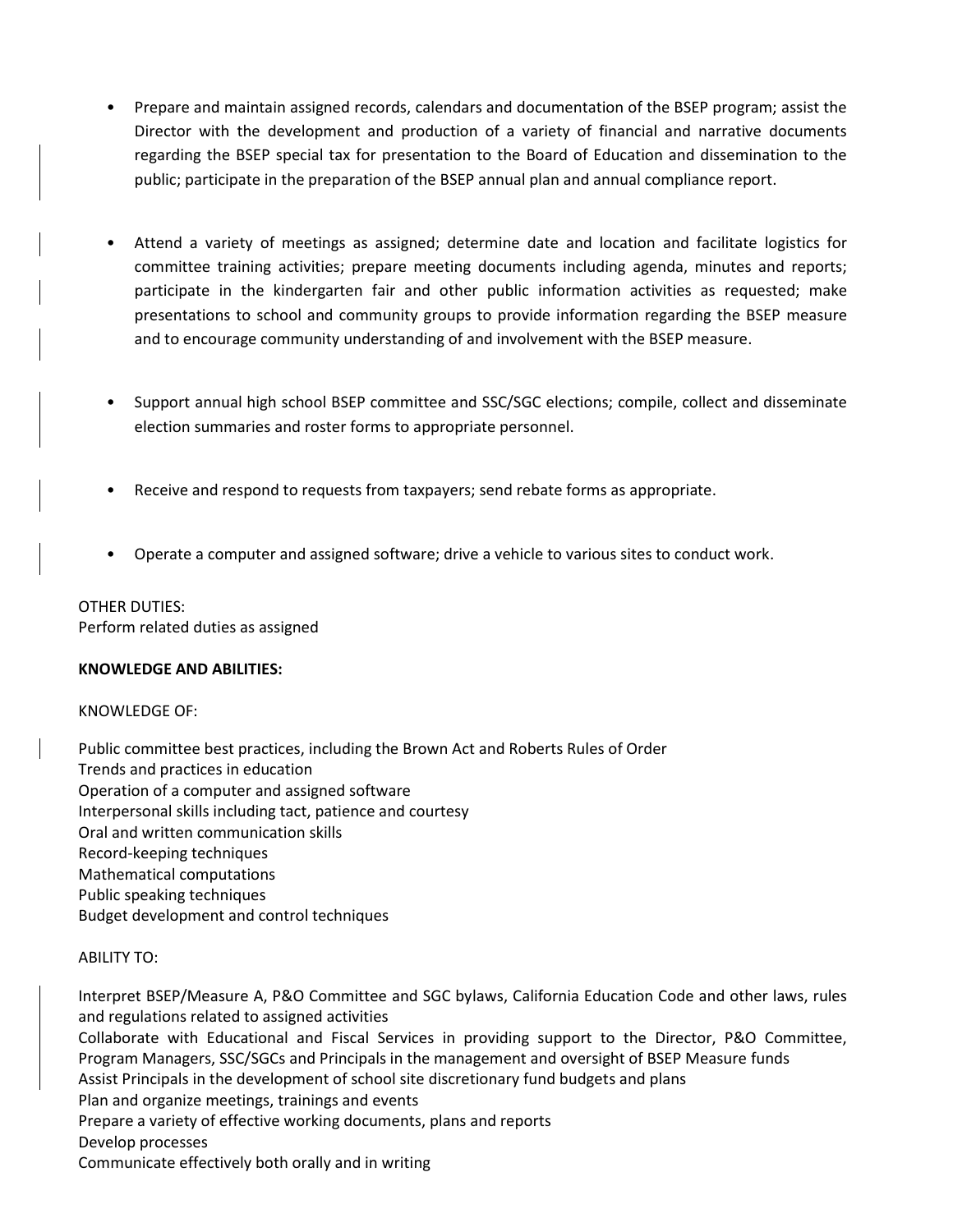- Prepare and maintain assigned records, calendars and documentation of the BSEP program; assist the Director with the development and production of a variety of financial and narrative documents regarding the BSEP special tax for presentation to the Board of Education and dissemination to the public; participate in the preparation of the BSEP annual plan and annual compliance report.
- Attend a variety of meetings as assigned; determine date and location and facilitate logistics for committee training activities; prepare meeting documents including agenda, minutes and reports; participate in the kindergarten fair and other public information activities as requested; make presentations to school and community groups to provide information regarding the BSEP measure and to encourage community understanding of and involvement with the BSEP measure.
- Support annual high school BSEP committee and SSC/SGC elections; compile, collect and disseminate election summaries and roster forms to appropriate personnel.
- Receive and respond to requests from taxpayers; send rebate forms as appropriate.
- Operate a computer and assigned software; drive a vehicle to various sites to conduct work.

OTHER DUTIES: Perform related duties as assigned

## **KNOWLEDGE AND ABILITIES:**

## KNOWLEDGE OF:

Public committee best practices, including the Brown Act and Roberts Rules of Order Trends and practices in education Operation of a computer and assigned software Interpersonal skills including tact, patience and courtesy Oral and written communication skills Record-keeping techniques Mathematical computations Public speaking techniques Budget development and control techniques

# ABILITY TO:

Interpret BSEP/Measure A, P&O Committee and SGC bylaws, California Education Code and other laws, rules and regulations related to assigned activities Collaborate with Educational and Fiscal Services in providing support to the Director, P&O Committee, Program Managers, SSC/SGCs and Principals in the management and oversight of BSEP Measure funds Assist Principals in the development of school site discretionary fund budgets and plans Plan and organize meetings, trainings and events Prepare a variety of effective working documents, plans and reports Develop processes Communicate effectively both orally and in writing